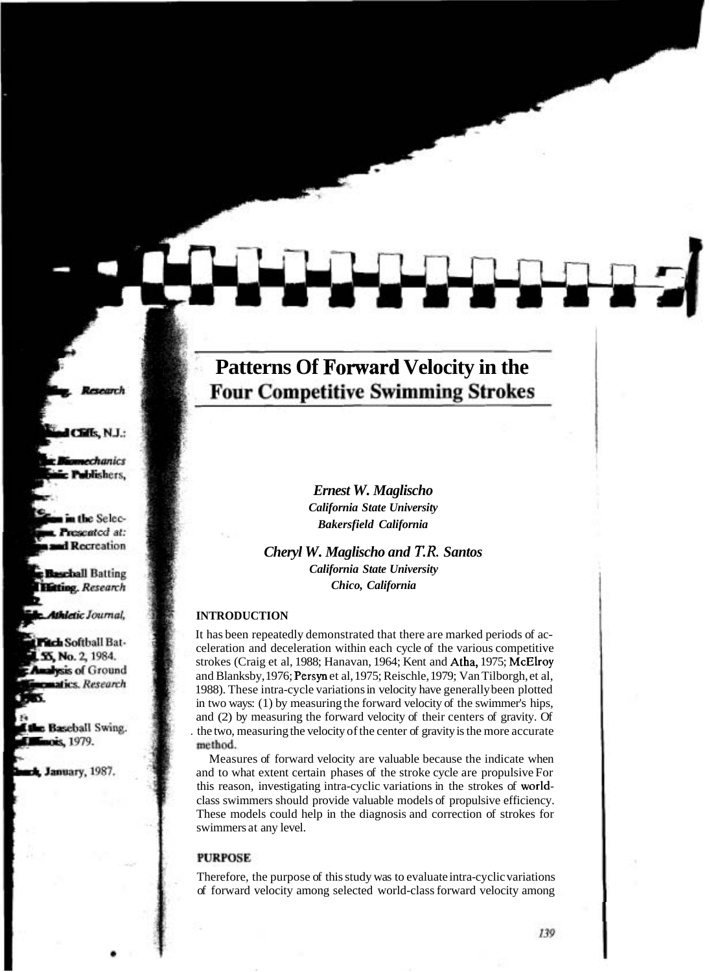# **Patterns Of Forward Velocity in the Four Competitive Swimming Strokes**

*Ernest W. Maglischo California State University Bakersfield California* 

*Cheryl W. Maglischo and T.R. Santos California State University Chico, California* 

#### **INTRODUCTION**

It has been repeatedly demonstrated that there are marked periods of acceleration and deceleration within each cycle of the various competitive strokes (Craig et al, 1988; Hanavan, 1964; Kent and Atha, 1975; McElroy and Blanksby, 1976; Persyn et al, 1975; Reischle, 1979; Van Tilborgh, et al, 1988). These intra-cycle variations in velocity have generally been plotted in two ways: (1) by measuring the forward velocity of the swimmer's hips, and (2) by measuring the forward velocity of their centers of gravity. Of . the two, measuring the velocity of the center of gravity is the more accurate method.

Measures of forward velocity are valuable because the indicate when and to what extent certain phases of the stroke cycle are propulsive For this reason, investigating intra-cyclic variations in the strokes of worldclass swimmers should provide valuable models of propulsive efficiency. These models could help in the diagnosis and correction of strokes for swimmers at any level.

#### **PURPOSE**

Therefore, the purpose of this study was to evaluate intra-cyclic variations of forward velocity among selected world-class forward velocity among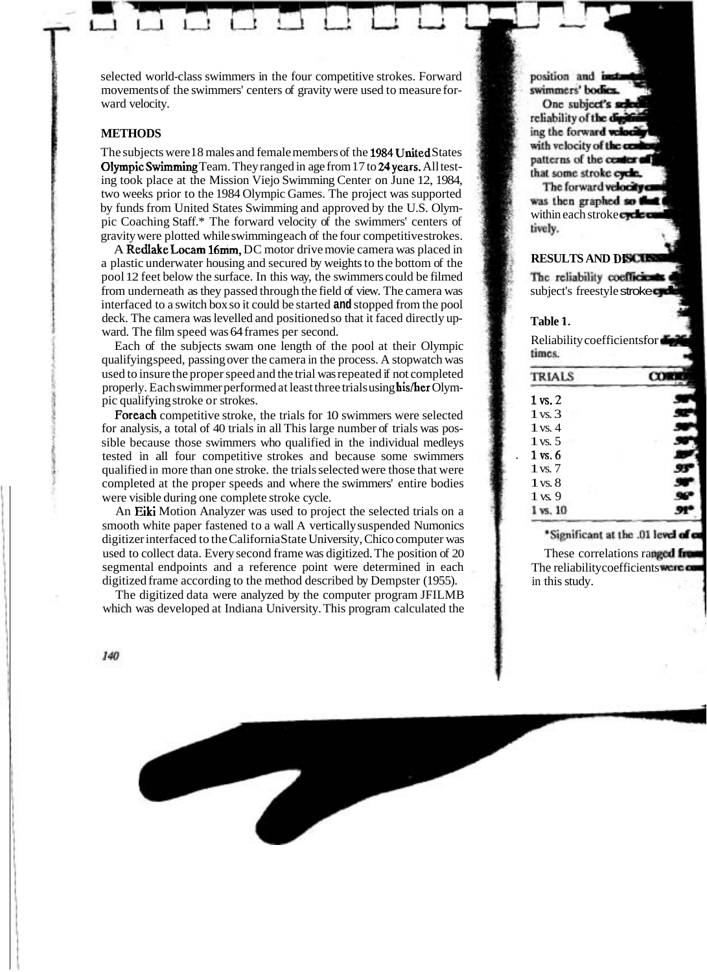selected world-class swimmers in the four competitive strokes. Forward movements of the swimmers' centers of gravity were used to measure forward velocity.

### **METHODS**

The subjects were 18 males and female members of the 1984 United States OlympicSwimming Team. They ranged in age from 17 to 24years. All testing took place at the Mission Viejo Swimming Center on June 12, 1984, two weeks prior to the 1984 Olympic Games. The project was supported by funds from United States Swimming and approved by the U.S. Olympic Coaching Staff.\* The forward velocity of the swimmers' centers of gravity were plotted while swimming each of the four competitive strokes.

A Redlake Locam 16mm, DC motor drive movie camera was placed in a plastic underwater housing and secured by weights to the bottom of the pool 12 feet below the surface. In this way, the swimmers could be filmed from underneath as they passed through the field of view. The camera was interfaced to a switch box so it could be started **and** stopped from the pool deck. The camera was levelled and positioned so that it faced directly upward. The film speed was 64 frames per second.

Each of the subjects swam one length of the pool at their Olympic qualifying speed, passing over the camera in the process. A stopwatch was used to insure the proper speed and the trial was repeated if not completed properly. Each swimmer performed at least three trials using his/her Olympic qualifying stroke or strokes.

Foreach competitive stroke, the trials for 10 swimmers were selected for analysis, a total of 40 trials in all This large number of trials was possible because those swimmers who qualified in the individual medleys tested in all four competitive strokes and because some swimmers qualified in more than one stroke. the trials selected were those that were completed at the proper speeds and where the swimmers' entire bodies were visible during one complete stroke cycle.

An Eiki Motion Analyzer was used to project the selected trials on a smooth white paper fastened to a wall A vertically suspended Numonics digitizer interfaced to the California State University, Chico computer was used to collect data. Every second frame was digitized. The position of 20 segmental endpoints and a reference point were determined in each digitized frame according to the method described by Dempster (1955).

The digitized data were analyzed by the computer program JFILMB which was developed at Indiana University. This program calculated the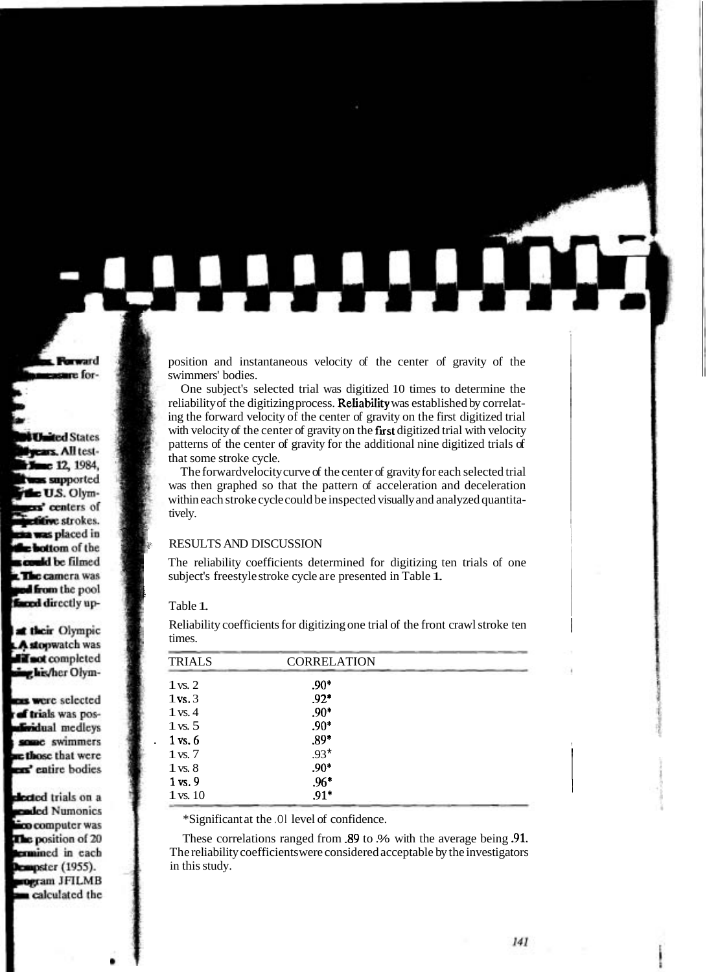position and instantaneous velocity of the center of gravity of the swimmers' bodies.

One subject's selected trial was digitized 10 times to determine the reliability of the digitizing process. Reliability was established by correlating the forward velocity of the center of gravity on the first digitized trial with velocity of the center of gravity on the first digitized trial with velocity patterns of the center of gravity for the additional nine digitized trials of that some stroke cycle.

The forwardvelocity curve of the center of gravity for each selected trial was then graphed so that the pattern of acceleration and deceleration within each stroke cycle could be inspected visually and analyzed quantitatively.

#### $\cdot$  RESULTS AND DISCUSSION

The reliability coefficients determined for digitizing ten trials of one subject's freestyle stroke cycle are presented in Table 1.

Table 1.

| <b>TRIALS</b>      | <b>CORRELATION</b> |  |
|--------------------|--------------------|--|
| $1$ vs. $2$        | $.90*$             |  |
| $1$ vs. $3$        | $.92*$             |  |
| $1$ vs. $4$        | $.90*$             |  |
| $1 \text{ vs. } 5$ | $.90*$             |  |
| 1 vs. 6            | $.89*$             |  |
| $1 \text{ vs. } 7$ | $.93*$             |  |
| $1 \text{ vs. } 8$ | $.90*$             |  |
| $1$ vs. $9$        | $.96*$             |  |
| $1$ vs. $10$       | $.91*$             |  |

Reliability coefficients for digitizing one trial of the front crawl stroke ten <sup>1</sup> times.

\*Significant at the .Ol level of confidence.

These correlations ranged from .89 to .% with the average being .91. The reliability coefficients were considered acceptable by the investigators in this study.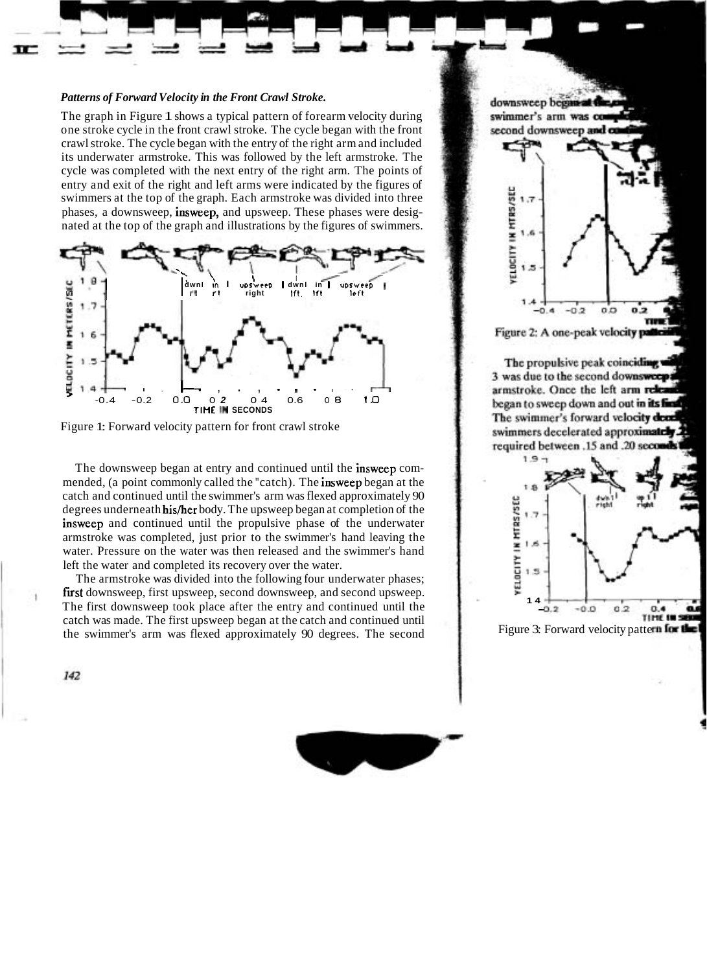#### *Patterns of Forward Velocity in the Front Crawl Stroke.*

The graph in Figure 1 shows a typical pattern of forearm velocity during one stroke cycle in the front crawl stroke. The cycle began with the front crawl stroke. The cycle began with the entry of the right arm and included its underwater armstroke. This was followed by the left armstroke. The cycle was completed with the next entry of the right arm. The points of entry and exit of the right and left arms were indicated by the figures of swimmers at the top of the graph. Each armstroke was divided into three phases, a downsweep, insweep, and upsweep. These phases were designated at the top of the graph and illustrations by the figures of swimmers.



Figure 1: Forward velocity pattern for front crawl stroke

The downsweep began at entry and continued until the insweep commended, (a point commonly called the "catch). The insweep began at the catch and continued until the swimmer's arm was flexed approximately 90 degrees underneath his/her body. The upsweep began at completion of the insweep and continued until the propulsive phase of the underwater armstroke was completed, just prior to the swimmer's hand leaving the water. Pressure on the water was then released and the swimmer's hand left the water and completed its recovery over the water.

The armstroke was divided into the following four underwater phases; first downsweep, first upsweep, second downsweep, and second upsweep. The first downsweep took place after the entry and continued until the catch was made. The first upsweep began at the catch and continued until the swimmer's arm was flexed approximately 90 degrees. The second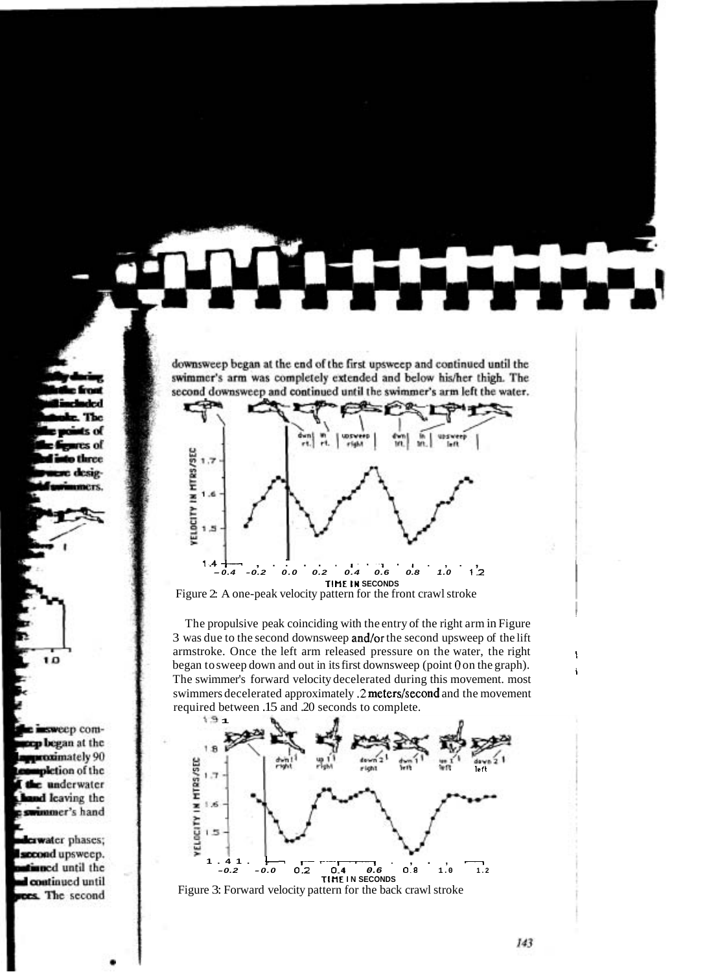downsweep began at the end of the first upsweep and continued until the swimmer's arm was completely extended and below his/her thigh. The second downsweep and continued until the swimmer's arm left the water.



Figure 2: A one-peak velocity pattern for the front crawl stroke

The propulsive peak coinciding with the entry of the right arm in Figure 3 was due to the second downsweep and/or the second upsweep of the lift armstroke. Once the left arm released pressure on the water, the right began to sweep down and out in its first downsweep (point  $\theta$  on the graph). The swimmer's forward velocity decelerated during this movement. most <sup>I</sup> swimmers decelerated approximately .2 meters/second and the movement required between .15 and .20 seconds to complete.



Figure 3: Forward velocity pattern for the back crawl stroke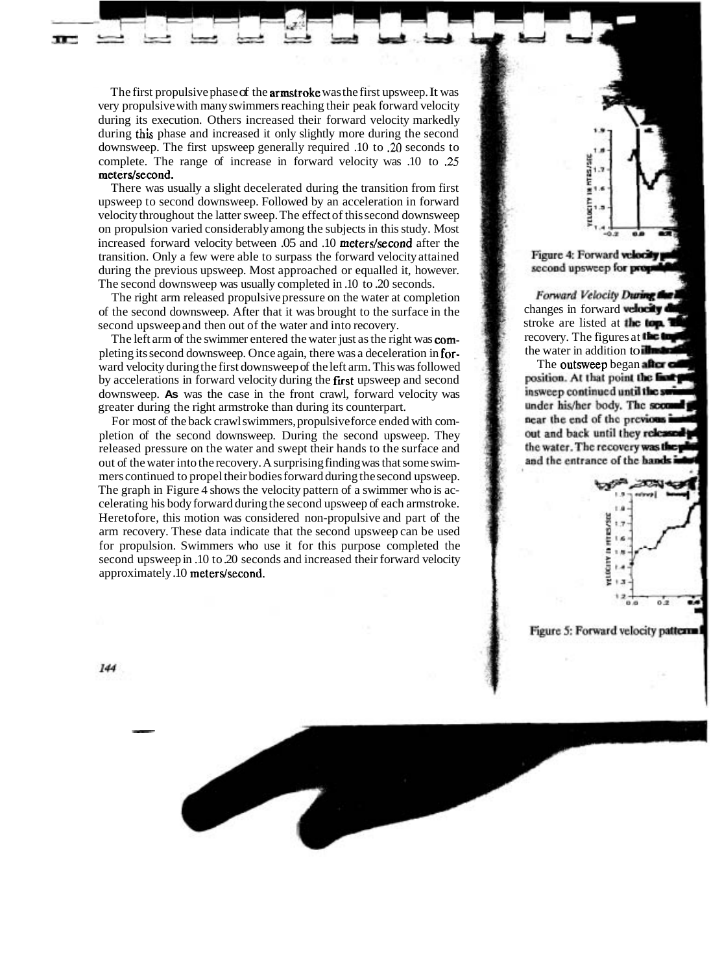The first propulsive phase of the **armstroke** was the first upsweep. It was very propulsive with many swimmers reaching their peak forward velocity during its execution. Others increased their forward velocity markedly during this phase and increased it only slightly more during the second downsweep. The first upsweep generally required .10 to **.20** seconds to complete. The range of increase in forward velocity was .10 to **.25**  meters/second.

There was usually a slight decelerated during the transition from first upsweep to second downsweep. Followed by an acceleration in forward velocity throughout the latter sweep. The effect of this second downsweep on propulsion varied considerably among the subjects in this study. Most increased forward velocity between .05 and .10 meters/second after the transition. Only a few were able to surpass the forward velocity attained during the previous upsweep. Most approached or equalled it, however. The second downsweep was usually completed in .10 to .20 seconds.

The right arm released propulsive pressure on the water at completion of the second downsweep. After that it was brought to the surface in the second upsweep and then out of the water and into recovery.

The left arm of the swimmer entered the water just as the right was completing its second downsweep. Once again, there was a deceleration in forward velocity during the first downsweep of the left arm. This was followed by accelerations in forward velocity during the first upsweep and second downsweep. **As** was the case in the front crawl, forward velocity was greater during the right armstroke than during its counterpart.

For most of the back crawl swimmers, propulsive force ended with completion of the second downsweep. During the second upsweep. They released pressure on the water and swept their hands to the surface and out of the water into the recovery. A surprising finding was that some swimmers continued to propel their bodies forward during the second upsweep. The graph in Figure 4 shows the velocity pattern of a swimmer who is accelerating his body forward during the second upsweep of each armstroke. Heretofore, this motion was considered non-propulsive and part of the arm recovery. These data indicate that the second upsweep can be used for propulsion. Swimmers who use it for this purpose completed the second upsweep in .10 to .20 seconds and increased their forward velocity approximately .10 meters/second.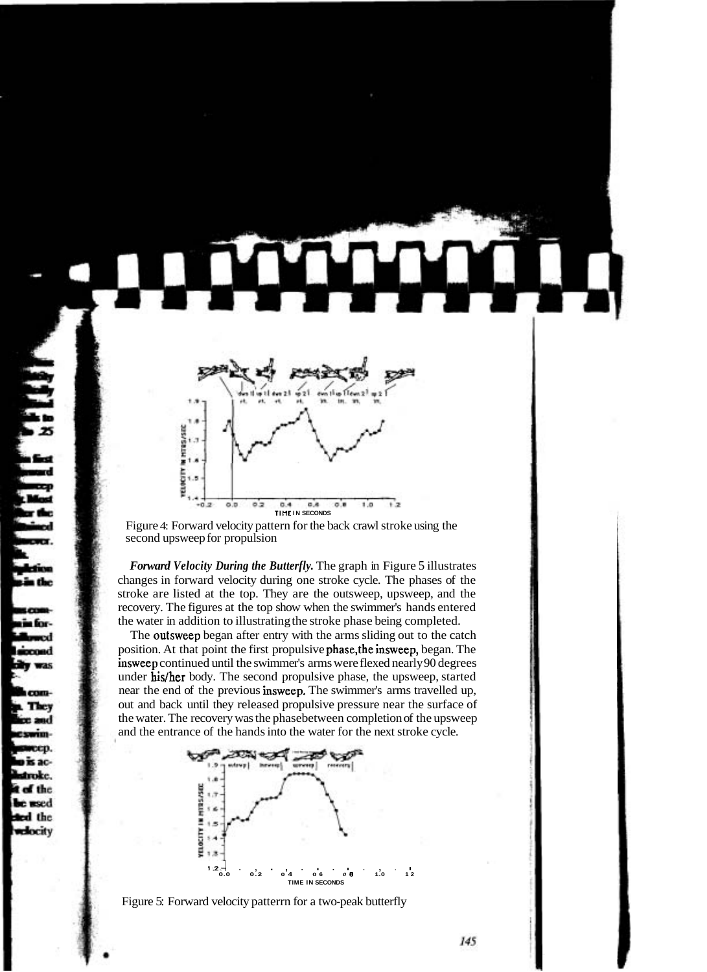

Figure 4: Forward velocity pattern for the back crawl stroke using the second upsweep for propulsion

*Forward Velocity During the Butterfly.* The graph in Figure 5 illustrates changes in forward velocity during one stroke cycle. The phases of the stroke are listed at the top. They are the outsweep, upsweep, and the recovery. The figures at the top show when the swimmer's hands entered the water in addition to illustrating the stroke phase being completed.

The outsweep began after entry with the arms sliding out to the catch position. At that point the first propulsive phase,the insweep, began. The insweep continued until the swimmer's arms were flexed nearly 90 degrees under his/her body. The second propulsive phase, the upsweep, started near the end of the previous insweep. The swimmer's arms travelled up, out and back until they released propulsive pressure near the surface of the water. The recovery was the phasebetween completion of the upsweep and the entrance of the hands into the water for the next stroke cycle.



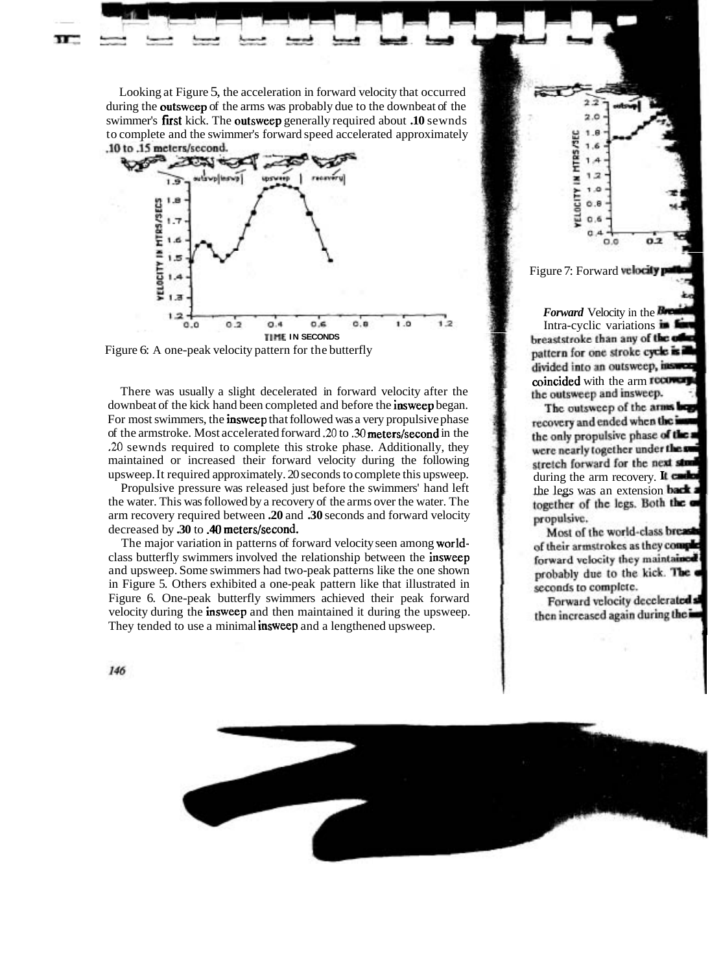Looking at Figure 5, the acceleration in forward velocity that occurred during the outsweep of the arms was probably due to the downbeat of the swimmer's first kick. The outsweep generally required about **.10** sewnds to complete and the swimmer's forward speed accelerated approximately<br>10 to 15 meters/second.



Figure 6: A one-peak velocity pattern for the butterfly

There was usually a slight decelerated in forward velocity after the downbeat of the kick hand been completed and before the insweep began. For most swimmers, the insweep that followed was a very propulsive phase of the armstroke. Most accelerated forward *.20* to **.30** meters/second in the **.20** sewnds required to complete this stroke phase. Additionally, they maintained or increased their forward velocity during the following upsweep. It required approximately. 20 seconds to complete this upsweep.

Propulsive pressure was released just before the swimmers' hand left the water. This was followed by a recovery of the arms over the water. The arm recovery required between **.20** and **.30** seconds and forward velocity decreased by **.30** to **.40 meters/second.** 

The major variation in patterns of forward velocity seen among worldclass butterfly swimmers involved the relationship between the insweep and upsweep. Some swimmers had two-peak patterns like the one shown in Figure 5. Others exhibited a one-peak pattern like that illustrated in Figure 6. One-peak butterfly swimmers achieved their peak forward velocity during the insweep and then maintained it during the upsweep. They tended to use a minimal **insweep** and a lengthened upsweep.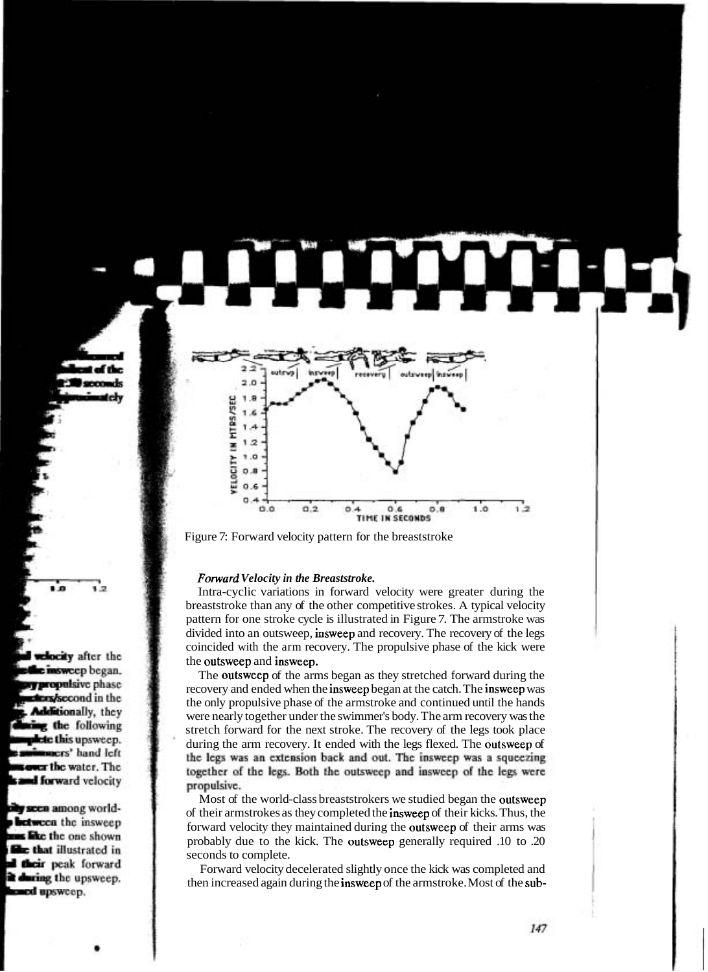

Figure 7: Forward velocity pattern for the breaststroke

#### *Forward Velocity in the Breaststroke.*

Intra-cyclic variations in forward velocity were greater during the breaststroke than any of the other competitive strokes. A typical velocity pattern for one stroke cycle is illustrated in Figure 7. The armstroke was divided into an outsweep, insweep and recovery. The recovery of the legs coincided with the arm recovery. The propulsive phase of the kick were the outsweep and insweep.

The outsweep of the arms began as they stretched forward during the recovery and ended when the insweep began at the catch. The insweep was the only propulsive phase of the armstroke and continued until the hands were nearly together under the swimmer's body. The arm recovery was the stretch forward for the next stroke. The recovery of the legs took place during the arm recovery. It ended with the legs flexed. The outsweep of the legs was an extension back and out. The insweep was a squeezing together of the legs. Both the outsweep and insweep of the legs were propulsive.

Most of the world-class breaststrokers we studied began the outsweep of their armstrokes as they completed the insweep of their kicks. Thus, the forward velocity they maintained during the outsweep of their arms was probably due to the kick. The outsweep generally required .10 to .20 seconds to complete.

Forward velocity decelerated slightly once the kick was completed and then increased again during the insweep of the armstroke. Most of the sub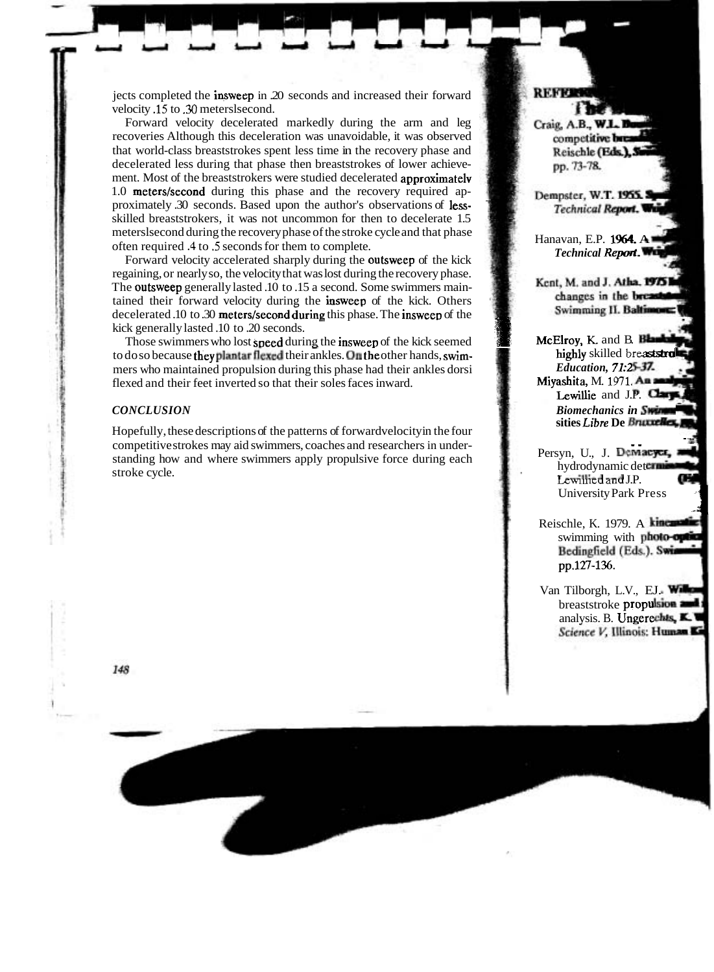jects completed the insweep in .20 seconds and increased their forward velocity **.l5** to **.30** meterslsecond.

Forward velocity decelerated markedly during the arm and leg recoveries Although this deceleration was unavoidable, it was observed that world-class breaststrokes spent less time in the recovery phase and decelerated less during that phase then breaststrokes of lower achievement. Most of the breaststrokers were studied decelerated **approximately** meterslsecond during the recovery phase of the stroke cycle and that phase often required **.4** to **.5** seconds for them to complete.  $1.0$  meters/second during this phase and the recovery required approximately .30 seconds. Based upon the author's observations of lessskilled breaststrokers, it was not uncommon for then to decelerate 1.5

Forward velocity accelerated sharply during the **outsweep** of the kick regaining, or nearly so, the velocity that was lost during the recovery phase. The outsweep generally lasted .10 to .15 a second. Some swimmers maintained their forward velocity during the insweep of the kick. Others decelerated .10 to .30 meters/second during this phase. The insweep of the referated .10 to .30 **meters/second during** this phase. I he insweep of the<br>k generally lasted .10 to .20 seconds.<br>Those swimmers who lost speed during the insweep of the kick seemed<br>does because that Berlin Belle Club be kick generally lasted .10 to .20 seconds.

to do so because they plantar flexed their ankles. On the other hands, swimmers who maintained propulsion during this phase had their ankles dorsi flexed and their feet inverted so that their soles faces inward.

## $CONCLUSION$

Hopefully, these descriptions of the patterns of forwardvelocity in the four competitive strokes may aid swimmers, coaches and researchers in understanding how and where swimmers apply propulsive force during each stroke cycle.